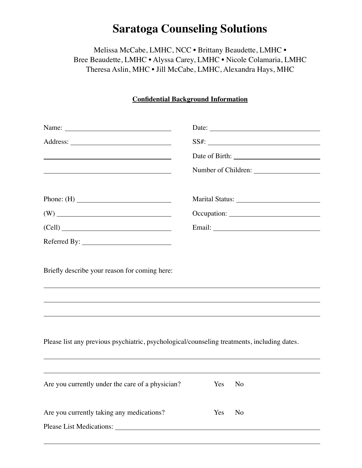# **Saratoga Counseling Solutions**

Melissa McCabe, LMHC, NCC • Brittany Beaudette, LMHC • Bree Beaudette, LMHC • Alyssa Carey, LMHC • Nicole Colamaria, LMHC Theresa Aslin, MHC • Jill McCabe, LMHC, Alexandra Hays, MHC

### **Confidential Background Information**

|                                                                                                                                                                                                                      | Date:                                                                                         |  |  |  |
|----------------------------------------------------------------------------------------------------------------------------------------------------------------------------------------------------------------------|-----------------------------------------------------------------------------------------------|--|--|--|
|                                                                                                                                                                                                                      |                                                                                               |  |  |  |
| <u> 1989 - Andrea Stadt Britain, amerikansk politik (</u>                                                                                                                                                            |                                                                                               |  |  |  |
| <u> 1989 - Johann Stoff, deutscher Stoffen und der Stoffen und der Stoffen und der Stoffen und der Stoffen und der</u>                                                                                               |                                                                                               |  |  |  |
|                                                                                                                                                                                                                      |                                                                                               |  |  |  |
|                                                                                                                                                                                                                      |                                                                                               |  |  |  |
| (Cell)                                                                                                                                                                                                               |                                                                                               |  |  |  |
|                                                                                                                                                                                                                      |                                                                                               |  |  |  |
| ,我们也不能会有什么。""我们的人,我们也不能会有什么?""我们的人,我们也不能会有什么?""我们的人,我们也不能会有什么?""我们的人,我们也不能会有什么?""                                                                                                                                    |                                                                                               |  |  |  |
| <u> 1999 - Jan Samuel Barbara, martin da shekara ta 1999 - An tsara tsara tsara tsara tsara tsara tsara tsara tsa</u><br>Please list any previous psychiatric, psychological/counseling treatments, including dates. |                                                                                               |  |  |  |
| Are you currently under the care of a physician?                                                                                                                                                                     | ,我们也不会有什么。""我们的人,我们也不会有什么?""我们的人,我们也不会有什么?""我们的人,我们也不会有什么?""我们的人,我们也不会有什么?""我们的人<br>Yes<br>No |  |  |  |
| Are you currently taking any medications?                                                                                                                                                                            | Yes<br><b>No</b>                                                                              |  |  |  |
|                                                                                                                                                                                                                      |                                                                                               |  |  |  |
|                                                                                                                                                                                                                      |                                                                                               |  |  |  |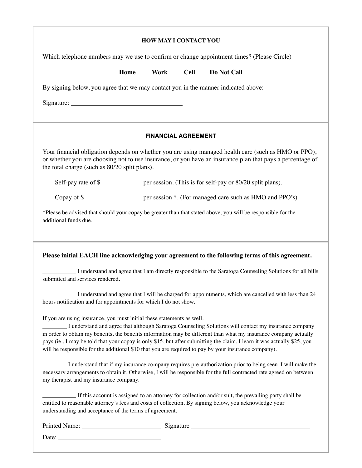|                                                                                                                                                                                | <b>HOW MAY I CONTACT YOU</b> |             |                                                                                                                                                                                                                                                                                                                                                       |
|--------------------------------------------------------------------------------------------------------------------------------------------------------------------------------|------------------------------|-------------|-------------------------------------------------------------------------------------------------------------------------------------------------------------------------------------------------------------------------------------------------------------------------------------------------------------------------------------------------------|
| Which telephone numbers may we use to confirm or change appointment times? (Please Circle)                                                                                     |                              |             |                                                                                                                                                                                                                                                                                                                                                       |
| Home                                                                                                                                                                           | Work                         | <b>Cell</b> | Do Not Call                                                                                                                                                                                                                                                                                                                                           |
| By signing below, you agree that we may contact you in the manner indicated above:                                                                                             |                              |             |                                                                                                                                                                                                                                                                                                                                                       |
|                                                                                                                                                                                |                              |             |                                                                                                                                                                                                                                                                                                                                                       |
|                                                                                                                                                                                |                              |             |                                                                                                                                                                                                                                                                                                                                                       |
|                                                                                                                                                                                | <b>FINANCIAL AGREEMENT</b>   |             |                                                                                                                                                                                                                                                                                                                                                       |
| the total charge (such as 80/20 split plans).                                                                                                                                  |                              |             | Your financial obligation depends on whether you are using managed health care (such as HMO or PPO),<br>or whether you are choosing not to use insurance, or you have an insurance plan that pays a percentage of                                                                                                                                     |
| Self-pay rate of \$                                                                                                                                                            |                              |             |                                                                                                                                                                                                                                                                                                                                                       |
|                                                                                                                                                                                |                              |             | Copay of \$                                                                                                                                                                                                                                                                                                                                           |
| *Please be advised that should your copay be greater than that stated above, you will be responsible for the                                                                   |                              |             |                                                                                                                                                                                                                                                                                                                                                       |
|                                                                                                                                                                                |                              |             |                                                                                                                                                                                                                                                                                                                                                       |
| additional funds due.                                                                                                                                                          |                              |             |                                                                                                                                                                                                                                                                                                                                                       |
|                                                                                                                                                                                |                              |             |                                                                                                                                                                                                                                                                                                                                                       |
| submitted and services rendered.                                                                                                                                               |                              |             | Please initial EACH line acknowledging your agreement to the following terms of this agreement.<br>I understand and agree that I am directly responsible to the Saratoga Counseling Solutions for all bills                                                                                                                                           |
| hours notification and for appointments for which I do not show.                                                                                                               |                              |             | I understand and agree that I will be charged for appointments, which are cancelled with less than 24                                                                                                                                                                                                                                                 |
| If you are using insurance, you must initial these statements as well.<br>will be responsible for the additional \$10 that you are required to pay by your insurance company). |                              |             | I understand and agree that although Saratoga Counseling Solutions will contact my insurance company<br>in order to obtain my benefits, the benefits information may be different than what my insurance company actually<br>pays (ie., I may be told that your copay is only \$15, but after submitting the claim, I learn it was actually \$25, you |
| my therapist and my insurance company.                                                                                                                                         |                              |             | I understand that if my insurance company requires pre-authorization prior to being seen, I will make the<br>necessary arrangements to obtain it. Otherwise, I will be responsible for the full contracted rate agreed on between                                                                                                                     |
| entitled to reasonable attorney's fees and costs of collection. By signing below, you acknowledge your<br>understanding and acceptance of the terms of agreement.              |                              |             | If this account is assigned to an attorney for collection and/or suit, the prevailing party shall be                                                                                                                                                                                                                                                  |
|                                                                                                                                                                                |                              |             |                                                                                                                                                                                                                                                                                                                                                       |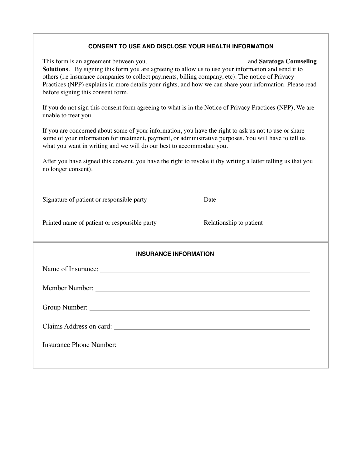#### **CONSENT TO USE AND DISCLOSE YOUR HEALTH INFORMATION**

| Solutions. By signing this form you are agreeing to allow us to use your information and send it to<br>others (i.e insurance companies to collect payments, billing company, etc). The notice of Privacy<br>Practices (NPP) explains in more details your rights, and how we can share your information. Please read<br>before signing this consent form. |                         |  |  |  |  |
|-----------------------------------------------------------------------------------------------------------------------------------------------------------------------------------------------------------------------------------------------------------------------------------------------------------------------------------------------------------|-------------------------|--|--|--|--|
| If you do not sign this consent form agreeing to what is in the Notice of Privacy Practices (NPP), We are<br>unable to treat you.                                                                                                                                                                                                                         |                         |  |  |  |  |
| If you are concerned about some of your information, you have the right to ask us not to use or share<br>some of your information for treatment, payment, or administrative purposes. You will have to tell us<br>what you want in writing and we will do our best to accommodate you.                                                                    |                         |  |  |  |  |
| After you have signed this consent, you have the right to revoke it (by writing a letter telling us that you<br>no longer consent).                                                                                                                                                                                                                       |                         |  |  |  |  |
| Signature of patient or responsible party                                                                                                                                                                                                                                                                                                                 | Date                    |  |  |  |  |
| Printed name of patient or responsible party                                                                                                                                                                                                                                                                                                              | Relationship to patient |  |  |  |  |
| <b>INSURANCE INFORMATION</b>                                                                                                                                                                                                                                                                                                                              |                         |  |  |  |  |
|                                                                                                                                                                                                                                                                                                                                                           |                         |  |  |  |  |
| Member Number: <u>Queen Communication</u> and Communication and Communication and Communication and Communication and Communication and Communication and Communication and Communication and Communication and Communication and C                                                                                                                       |                         |  |  |  |  |
|                                                                                                                                                                                                                                                                                                                                                           |                         |  |  |  |  |
| Claims Address on card: Law Claims Address on card:                                                                                                                                                                                                                                                                                                       |                         |  |  |  |  |
|                                                                                                                                                                                                                                                                                                                                                           |                         |  |  |  |  |
|                                                                                                                                                                                                                                                                                                                                                           |                         |  |  |  |  |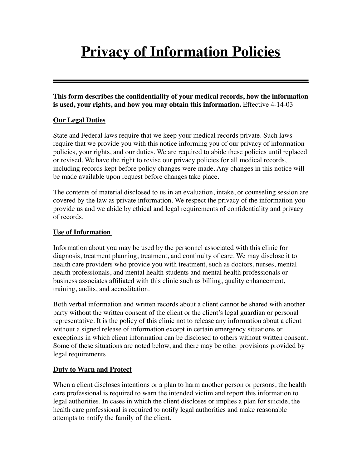# **Privacy of Information Policies**

**This form describes the confidentiality of your medical records, how the information is used, your rights, and how you may obtain this information.** Effective 4-14-03

#### **Our Legal Duties**

State and Federal laws require that we keep your medical records private. Such laws require that we provide you with this notice informing you of our privacy of information policies, your rights, and our duties. We are required to abide these policies until replaced or revised. We have the right to revise our privacy policies for all medical records, including records kept before policy changes were made. Any changes in this notice will be made available upon request before changes take place.

The contents of material disclosed to us in an evaluation, intake, or counseling session are covered by the law as private information. We respect the privacy of the information you provide us and we abide by ethical and legal requirements of confidentiality and privacy of records.

#### **Use of Information**

Information about you may be used by the personnel associated with this clinic for diagnosis, treatment planning, treatment, and continuity of care. We may disclose it to health care providers who provide you with treatment, such as doctors, nurses, mental health professionals, and mental health students and mental health professionals or business associates affiliated with this clinic such as billing, quality enhancement, training, audits, and accreditation.

Both verbal information and written records about a client cannot be shared with another party without the written consent of the client or the client's legal guardian or personal representative. It is the policy of this clinic not to release any information about a client without a signed release of information except in certain emergency situations or exceptions in which client information can be disclosed to others without written consent. Some of these situations are noted below, and there may be other provisions provided by legal requirements.

#### **Duty to Warn and Protect**

When a client discloses intentions or a plan to harm another person or persons, the health care professional is required to warn the intended victim and report this information to legal authorities. In cases in which the client discloses or implies a plan for suicide, the health care professional is required to notify legal authorities and make reasonable attempts to notify the family of the client.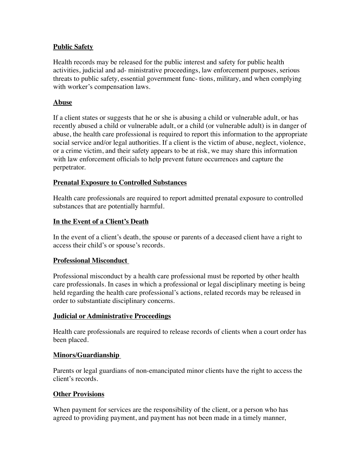#### **Public Safety**

Health records may be released for the public interest and safety for public health activities, judicial and ad- ministrative proceedings, law enforcement purposes, serious threats to public safety, essential government func- tions, military, and when complying with worker's compensation laws.

#### **Abuse**

If a client states or suggests that he or she is abusing a child or vulnerable adult, or has recently abused a child or vulnerable adult, or a child (or vulnerable adult) is in danger of abuse, the health care professional is required to report this information to the appropriate social service and/or legal authorities. If a client is the victim of abuse, neglect, violence, or a crime victim, and their safety appears to be at risk, we may share this information with law enforcement officials to help prevent future occurrences and capture the perpetrator.

#### **Prenatal Exposure to Controlled Substances**

Health care professionals are required to report admitted prenatal exposure to controlled substances that are potentially harmful.

#### **In the Event of a Client's Death**

In the event of a client's death, the spouse or parents of a deceased client have a right to access their child's or spouse's records.

#### **Professional Misconduct**

Professional misconduct by a health care professional must be reported by other health care professionals. In cases in which a professional or legal disciplinary meeting is being held regarding the health care professional's actions, related records may be released in order to substantiate disciplinary concerns.

#### **Judicial or Administrative Proceedings**

Health care professionals are required to release records of clients when a court order has been placed.

#### **Minors/Guardianship**

Parents or legal guardians of non-emancipated minor clients have the right to access the client's records.

#### **Other Provisions**

When payment for services are the responsibility of the client, or a person who has agreed to providing payment, and payment has not been made in a timely manner,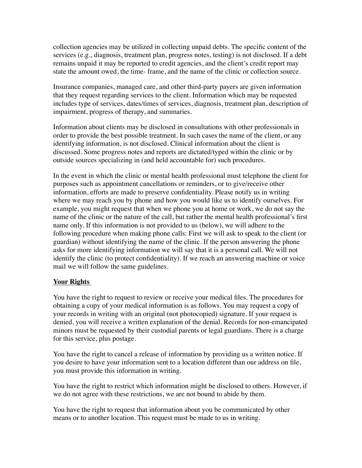collection agencies may be utilized in collecting unpaid debts. The specific content of the services (e.g., diagnosis, treatment plan, progress notes, testing) is not disclosed. If a debt remains unpaid it may be reported to credit agencies, and the client's credit report may state the amount owed, the time- frame, and the name of the clinic or collection source.

Insurance companies, managed care, and other third-party payers are given information that they request regarding services to the client. Information which may be requested includes type of services, dates/times of services, diagnosis, treatment plan, description of impairment, progress of therapy, and summaries.

Information about clients may be disclosed in consultations with other professionals in order to provide the best possible treatment. In such cases the name of the client, or any identifying information, is not disclosed. Clinical information about the client is discussed. Some progress notes and reports are dictated/typed within the clinic or by outside sources specializing in (and held accountable for) such procedures.

In the event in which the clinic or mental health professional must telephone the client for purposes such as appointment cancellations or reminders, or to give/receive other information, efforts are made to preserve confidentiality. Please notify us in writing where we may reach you by phone and how you would like us to identify ourselves. For example, you might request that when we phone you at home or work, we do not say the name of the clinic or the nature of the call, but rather the mental health professional's first name only. If this information is not provided to us (below), we will adhere to the following procedure when making phone calls: First we will ask to speak to the client (or guardian) without identifying the name of the clinic. If the person answering the phone asks for more identifying information we will say that it is a personal call. We will not identify the clinic (to protect confidentiality). If we reach an answering machine or voice mail we will follow the same guidelines.

#### **Your Rights**

You have the right to request to review or receive your medical files. The procedures for obtaining a copy of your medical information is as follows. You may request a copy of your records in writing with an original (not photocopied) signature. If your request is denied, you will receive a written explanation of the denial. Records for non-emancipated minors must be requested by their custodial parents or legal guardians. There is a charge for this service, plus postage.

You have the right to cancel a release of information by providing us a written notice. If you desire to have your information sent to a location different than our address on file, you must provide this information in writing.

You have the right to restrict which information might be disclosed to others. However, if we do not agree with these restrictions, we are not bound to abide by them.

You have the right to request that information about you be communicated by other means or to another location. This request must be made to us in writing.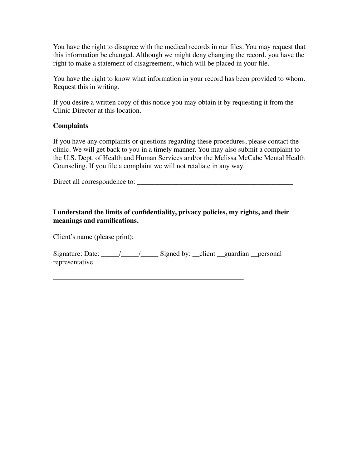You have the right to disagree with the medical records in our files. You may request that this information be changed. Although we might deny changing the record, you have the right to make a statement of disagreement, which will be placed in your file.

You have the right to know what information in your record has been provided to whom. Request this in writing.

If you desire a written copy of this notice you may obtain it by requesting it from the Clinic Director at this location.

#### **Complaints**

If you have any complaints or questions regarding these procedures, please contact the clinic. We will get back to you in a timely manner. You may also submit a complaint to the U.S. Dept. of Health and Human Services and/or the Melissa McCabe Mental Health Counseling. If you file a complaint we will not retaliate in any way.

Direct all correspondence to: \_\_\_\_\_\_\_\_\_\_\_\_\_\_\_\_\_\_\_\_\_\_\_\_\_\_\_\_\_\_\_\_\_\_\_\_\_\_\_\_\_\_\_\_

#### **I understand the limits of confidentiality, privacy policies, my rights, and their meanings and ramifications.**

Client's name (please print):

Signature: Date: \_\_\_\_\_\_/\_\_\_\_\_\_/\_\_\_\_\_\_\_ Signed by: \_\_client \_\_guardian \_\_personal representative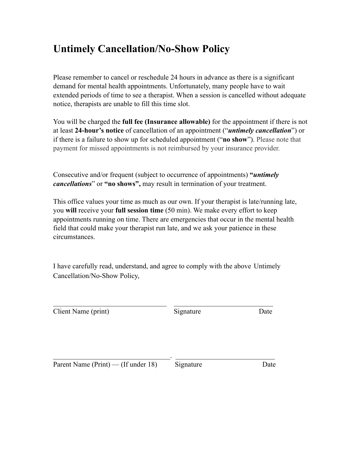## **Untimely Cancellation/No-Show Policy**

Please remember to cancel or reschedule 24 hours in advance as there is a significant demand for mental health appointments. Unfortunately, many people have to wait extended periods of time to see a therapist. When a session is cancelled without adequate notice, therapists are unable to fill this time slot.

You will be charged the **full fee (Insurance allowable)** for the appointment if there is not at least **24-hour's notice** of cancellation of an appointment ("*untimely cancellation*") or if there is a failure to show up for scheduled appointment ("**no show**"). Please note that payment for missed appointments is not reimbursed by your insurance provider.

Consecutive and/or frequent (subject to occurrence of appointments) **"***untimely cancellations*" or **"no shows",** may result in termination of your treatment.

This office values your time as much as our own. If your therapist is late/running late, you **will** receive your **full session time** (50 min). We make every effort to keep appointments running on time. There are emergencies that occur in the mental health field that could make your therapist run late, and we ask your patience in these circumstances.

I have carefully read, understand, and agree to comply with the above Untimely Cancellation/No-Show Policy,

| Client Name (print)                 | Signature | Date |
|-------------------------------------|-----------|------|
| Parent Name (Print) — (If under 18) | Signature | Date |